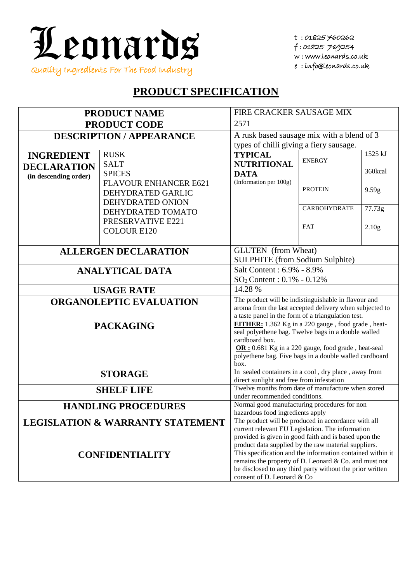

t : 01825 760262 f : 01825 769254 w : www.leonards.co.uk e : info@leonards.co.uk

## **PRODUCT SPECIFICATION**

| <b>PRODUCT NAME</b>                         |                                        | FIRE CRACKER SAUSAGE MIX                                                                                           |                                                      |                   |  |
|---------------------------------------------|----------------------------------------|--------------------------------------------------------------------------------------------------------------------|------------------------------------------------------|-------------------|--|
| <b>PRODUCT CODE</b>                         |                                        | 2571                                                                                                               |                                                      |                   |  |
| <b>DESCRIPTION / APPEARANCE</b>             |                                        | A rusk based sausage mix with a blend of 3                                                                         |                                                      |                   |  |
|                                             |                                        | types of chilli giving a fiery sausage.                                                                            |                                                      |                   |  |
| <b>INGREDIENT</b>                           | <b>RUSK</b>                            | <b>TYPICAL</b>                                                                                                     | <b>ENERGY</b>                                        | 1525 kJ           |  |
| <b>DECLARATION</b>                          | <b>SALT</b>                            | <b>NUTRITIONAL</b>                                                                                                 |                                                      | 360kcal           |  |
| (in descending order)                       | <b>SPICES</b>                          | <b>DATA</b><br>(Information per 100g)                                                                              |                                                      |                   |  |
|                                             | <b>FLAVOUR ENHANCER E621</b>           |                                                                                                                    | <b>PROTEIN</b>                                       | 9.59g             |  |
|                                             | DEHYDRATED GARLIC                      |                                                                                                                    |                                                      |                   |  |
|                                             | DEHYDRATED ONION                       |                                                                                                                    | <b>CARBOHYDRATE</b>                                  | 77.73g            |  |
|                                             | DEHYDRATED TOMATO<br>PRESERVATIVE E221 |                                                                                                                    |                                                      |                   |  |
|                                             | <b>COLOUR E120</b>                     |                                                                                                                    | <b>FAT</b>                                           | 2.10 <sub>g</sub> |  |
|                                             |                                        |                                                                                                                    |                                                      |                   |  |
|                                             |                                        | <b>GLUTEN</b> (from Wheat)                                                                                         |                                                      |                   |  |
| <b>ALLERGEN DECLARATION</b>                 |                                        | <b>SULPHITE</b> (from Sodium Sulphite)                                                                             |                                                      |                   |  |
| <b>ANALYTICAL DATA</b>                      |                                        |                                                                                                                    | Salt Content: 6.9% - 8.9%                            |                   |  |
|                                             |                                        |                                                                                                                    | $SO_2$ Content: $0.1\% - 0.12\%$                     |                   |  |
|                                             | <b>USAGE RATE</b>                      | 14.28 %                                                                                                            |                                                      |                   |  |
|                                             | <b>ORGANOLEPTIC EVALUATION</b>         | The product will be indistinguishable in flavour and                                                               |                                                      |                   |  |
|                                             |                                        | aroma from the last accepted delivery when subjected to                                                            |                                                      |                   |  |
|                                             |                                        | a taste panel in the form of a triangulation test.<br>EITHER: 1.362 Kg in a 220 gauge, food grade, heat-           |                                                      |                   |  |
|                                             | <b>PACKAGING</b>                       | seal polyethene bag. Twelve bags in a double walled                                                                |                                                      |                   |  |
|                                             |                                        | cardboard box.                                                                                                     |                                                      |                   |  |
|                                             |                                        | OR: 0.681 Kg in a 220 gauge, food grade, heat-seal                                                                 |                                                      |                   |  |
|                                             |                                        | polyethene bag. Five bags in a double walled cardboard<br>box.                                                     |                                                      |                   |  |
| <b>STORAGE</b>                              |                                        |                                                                                                                    | In sealed containers in a cool, dry place, away from |                   |  |
|                                             |                                        | direct sunlight and free from infestation                                                                          |                                                      |                   |  |
| <b>SHELF LIFE</b>                           |                                        | Twelve months from date of manufacture when stored                                                                 |                                                      |                   |  |
|                                             |                                        | under recommended conditions.<br>Normal good manufacturing procedures for non                                      |                                                      |                   |  |
| <b>HANDLING PROCEDURES</b>                  |                                        | hazardous food ingredients apply                                                                                   |                                                      |                   |  |
| <b>LEGISLATION &amp; WARRANTY STATEMENT</b> |                                        | The product will be produced in accordance with all                                                                |                                                      |                   |  |
|                                             |                                        | current relevant EU Legislation. The information                                                                   |                                                      |                   |  |
|                                             |                                        | provided is given in good faith and is based upon the                                                              |                                                      |                   |  |
|                                             |                                        | product data supplied by the raw material suppliers.<br>This specification and the information contained within it |                                                      |                   |  |
| <b>CONFIDENTIALITY</b>                      |                                        | remains the property of D. Leonard & Co. and must not                                                              |                                                      |                   |  |
|                                             |                                        | be disclosed to any third party without the prior written                                                          |                                                      |                   |  |
|                                             |                                        | consent of D. Leonard & Co.                                                                                        |                                                      |                   |  |